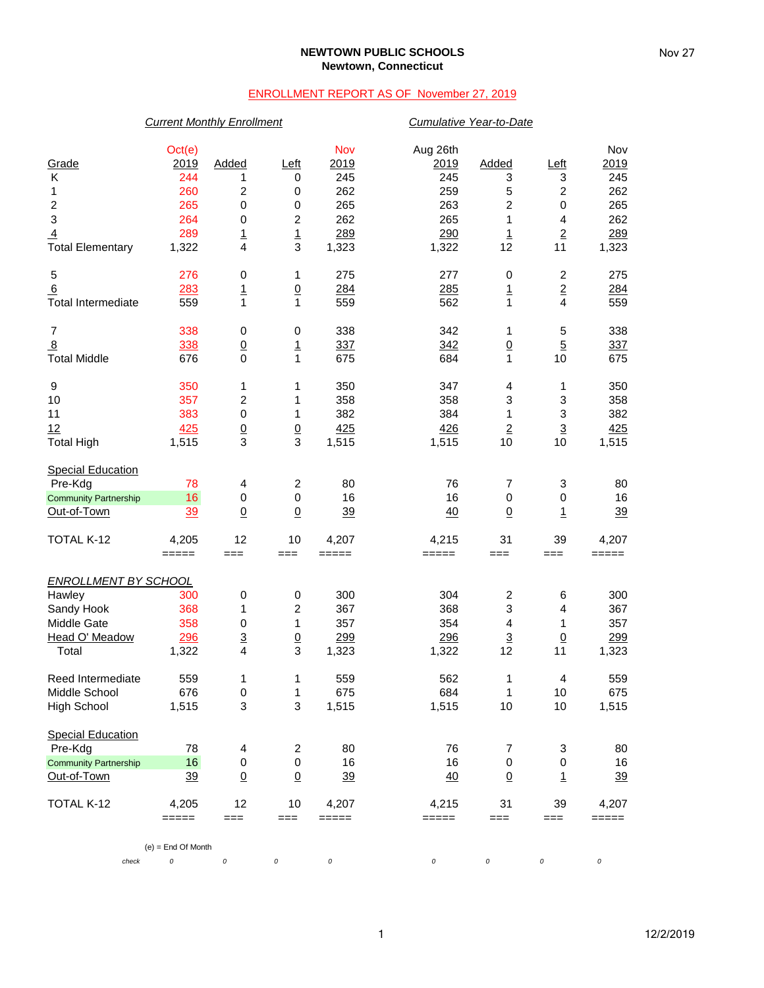### **NEWTOWN PUBLIC SCHOOLS Newtown, Connecticut**

## ENROLLMENT REPORT AS OF November 27, 2019

## *Current Monthly Enrollment Cumulative Year-to-Date*

| Grade                        | Oct(e)<br>2019       | Added                    | Left             | Nov<br>2019 | Aug 26th<br>2019 | Added                   | Left                    | Nov<br>2019 |
|------------------------------|----------------------|--------------------------|------------------|-------------|------------------|-------------------------|-------------------------|-------------|
| Κ                            | 244                  | 1                        | 0                | 245         | 245              | 3                       | 3                       | 245         |
| 1                            | 260                  | 2                        | $\,0\,$          | 262         | 259              | 5                       | $\mathbf 2$             | 262         |
| 2                            | 265                  | 0                        | $\,0\,$          | 265         | 263              | 2                       | 0                       | 265         |
| $\ensuremath{\mathsf{3}}$    | 264                  | 0                        | $\boldsymbol{2}$ | 262         | 265              | 1                       | 4                       | 262         |
| $\overline{4}$               | 289                  | $\overline{1}$           | $\overline{1}$   | 289         | 290              | $\overline{1}$          | $\overline{2}$          | 289         |
| <b>Total Elementary</b>      | 1,322                | 4                        | 3                | 1,323       | 1,322            | 12                      | 11                      | 1,323       |
| 5                            | 276                  | 0                        | 1                | 275         | 277              | 0                       | $\overline{\mathbf{c}}$ | 275         |
| 6                            | 283                  | $\overline{1}$           | $\underline{0}$  | 284         | 285              | $\overline{1}$          | $\overline{2}$          | 284         |
| <b>Total Intermediate</b>    | 559                  | 1                        | $\mathbf{1}$     | 559         | 562              | 1                       | $\overline{4}$          | 559         |
| 7                            | 338                  | 0                        | 0                | 338         | 342              | 1                       | 5                       | 338         |
| $\overline{8}$               | 338                  | $\underline{0}$          | $\overline{1}$   | 337         | 342              | $\underline{0}$         | $\overline{5}$          | 337         |
| <b>Total Middle</b>          | 676                  | 0                        | 1                | 675         | 684              | 1                       | 10                      | 675         |
| 9                            | 350                  | 1                        | 1                | 350         | 347              | 4                       | 1                       | 350         |
| 10                           | 357                  | 2                        | 1                | 358         | 358              | 3                       | 3                       | 358         |
| 11                           | 383                  | 0                        | 1                | 382         | 384              | 1                       | 3                       | 382         |
| 12                           | 425                  | $\frac{0}{3}$            | $\frac{0}{3}$    | 425         | 426              | $\overline{2}$          | $\overline{3}$          | 425         |
| <b>Total High</b>            | 1,515                |                          |                  | 1,515       | 1,515            | 10                      | 10                      | 1,515       |
| <b>Special Education</b>     |                      |                          |                  |             |                  |                         |                         |             |
| Pre-Kdg                      | 78                   | 4                        | $\overline{c}$   | 80          | 76               | 7                       | 3                       | 80          |
| <b>Community Partnership</b> | 16                   | 0                        | $\,0\,$          | 16          | 16               | $\mathbf 0$             | 0                       | 16          |
| Out-of-Town                  | 39                   | $\underline{0}$          | $\underline{0}$  | 39          | 40               | $\overline{0}$          | $\overline{1}$          | 39          |
| TOTAL K-12                   | 4,205                | 12                       | 10               | 4,207       | 4,215            | 31                      | 39                      | 4,207       |
|                              | $=====$              | $==$                     | $==$             | $=====$     | =====            | $==$                    | ===                     | =====       |
| <b>ENROLLMENT BY SCHOOL</b>  |                      |                          |                  |             |                  |                         |                         |             |
| Hawley                       | 300                  | 0                        | 0                | 300         | 304              | $\overline{\mathbf{c}}$ | 6                       | 300         |
| Sandy Hook                   | 368                  | 1                        | 2                | 367         | 368              | 3                       | 4                       | 367         |
| Middle Gate                  | 358                  | 0                        | 1                | 357         | 354              | 4                       | 1                       | 357         |
| Head O' Meadow               | 296                  | $\underline{\mathbf{3}}$ | $\underline{0}$  | 299         | 296              | $\overline{3}$          | $\underline{0}$         | 299         |
| Total                        | 1,322                | 4                        | 3                | 1,323       | 1,322            | 12                      | 11                      | 1,323       |
| Reed Intermediate            | 559                  | 1                        | 1                | 559         | 562              | 1                       | 4                       | 559         |
| Middle School                | 676                  | 0                        | 1                | 675         | 684              | 1                       | 10                      | 675         |
| <b>High School</b>           | 1,515                | 3                        | 3                | 1,515       | 1,515            | 10                      | 10                      | 1,515       |
| <b>Special Education</b>     |                      |                          |                  |             |                  |                         |                         |             |
| Pre-Kdg                      | 78                   | 4                        | 2                | 80          | 76               | 7                       | 3                       | 80          |
| <b>Community Partnership</b> | 16                   | $\pmb{0}$                | 0                | 16          | 16               | $\boldsymbol{0}$        | 0                       | 16          |
| Out-of-Town                  | 39                   | $\underline{0}$          | $\underline{0}$  | <u>39</u>   | 40               | $\underline{0}$         | 1                       | <u>39</u>   |
| TOTAL K-12                   | 4,205                | 12                       | 10               | 4,207       | 4,215            | 31                      | 39                      | 4,207       |
|                              | $=====$              | $==$                     | $==$             | $=====$     | =====            | $==$                    | $==$                    | =====       |
|                              | $(e) = End Of Month$ |                          |                  |             |                  |                         |                         |             |
| check                        | 0                    | 0                        | 0                | 0           | 0                | 0                       | 0                       | 0           |